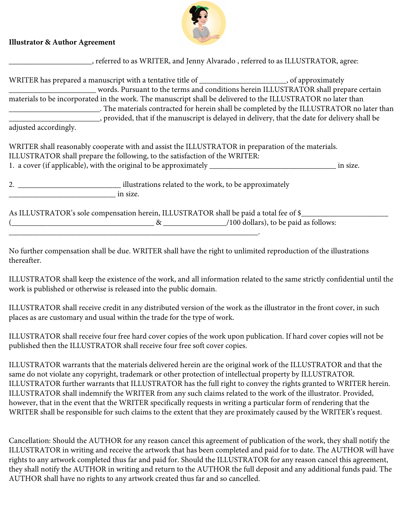## **Illustrator & Author Agreement**



| _, referred to as WRITER, and Jenny Alvarado, referred to as ILLUSTRATOR, agree:                             |  |
|--------------------------------------------------------------------------------------------------------------|--|
| WRITER has prepared a manuscript with a tentative title of _______________________, of approximately         |  |
| words. Pursuant to the terms and conditions herein ILLUSTRATOR shall prepare certain                         |  |
| materials to be incorporated in the work. The manuscript shall be delivered to the ILLUSTRATOR no later than |  |
| The materials contracted for herein shall be completed by the ILLUSTRATOR no later than                      |  |
| provided, that if the manuscript is delayed in delivery, that the date for delivery shall be                 |  |
| adjusted accordingly.                                                                                        |  |
| WRITER shall reasonably cooperate with and assist the ILLUSTRATOR in preparation of the materials.           |  |
| ILLUSTRATOR shall prepare the following, to the satisfaction of the WRITER:                                  |  |
| in size.                                                                                                     |  |
| illustrations related to the work, to be approximately<br>2.                                                 |  |
| in size.                                                                                                     |  |
| As ILLUSTRATOR's sole compensation herein, ILLUSTRATOR shall be paid a total fee of \$                       |  |
|                                                                                                              |  |

No further compensation shall be due. WRITER shall have the right to unlimited reproduction of the illustrations thereafter.

\_\_\_\_\_\_\_\_\_\_\_\_\_\_\_\_\_\_\_\_\_\_\_\_\_\_\_\_\_\_\_\_\_\_\_\_\_\_\_\_\_\_\_\_\_\_\_\_\_\_\_\_\_\_\_\_\_\_\_\_\_\_\_.

ILLUSTRATOR shall keep the existence of the work, and all information related to the same strictly confidential until the work is published or otherwise is released into the public domain.

ILLUSTRATOR shall receive credit in any distributed version of the work as the illustrator in the front cover, in such places as are customary and usual within the trade for the type of work.

ILLUSTRATOR shall receive four free hard cover copies of the work upon publication. If hard cover copies will not be published then the ILLUSTRATOR shall receive four free soft cover copies.

ILLUSTRATOR warrants that the materials delivered herein are the original work of the ILLUSTRATOR and that the same do not violate any copyright, trademark or other protection of intellectual property by ILLUSTRATOR. ILLUSTRATOR further warrants that ILLUSTRATOR has the full right to convey the rights granted to WRITER herein. ILLUSTRATOR shall indemnify the WRITER from any such claims related to the work of the illustrator. Provided, however, that in the event that the WRITER specifically requests in writing a particular form of rendering that the WRITER shall be responsible for such claims to the extent that they are proximately caused by the WRITER's request.

Cancellation: Should the AUTHOR for any reason cancel this agreement of publication of the work, they shall notify the ILLUSTRATOR in writing and receive the artwork that has been completed and paid for to date. The AUTHOR will have rights to any artwork completed thus far and paid for. Should the ILLUSTRATOR for any reason cancel this agreement, they shall notify the AUTHOR in writing and return to the AUTHOR the full deposit and any additional funds paid. The AUTHOR shall have no rights to any artwork created thus far and so cancelled.